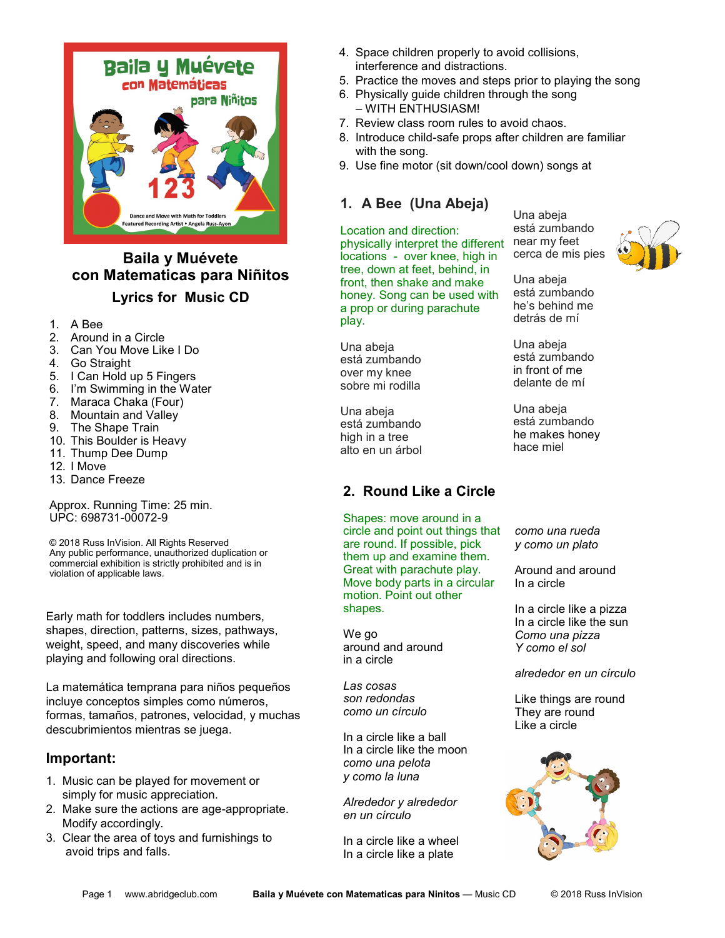

# **Baila y Muévete con Matematicas para Niñitos Lyrics for Music CD**

- 1. A Bee
- 2. Around in a Circle
- 3. Can You Move Like I Do
- 4. Go Straight
- 5. I Can Hold up 5 Fingers
- 6. I'm Swimming in the Water
- 7. Maraca Chaka (Four)
- 8. Mountain and Valley
- 9. The Shape Train
- 10. This Boulder is Heavy
- 11. Thump Dee Dump
- 12. I Move
- 13. Dance Freeze

Approx. Running Time: 25 min. UPC: 698731-00072-9

© 2018 Russ InVision. All Rights Reserved Any public performance, unauthorized duplication or commercial exhibition is strictly prohibited and is in violation of applicable laws.

Early math for toddlers includes numbers, shapes, direction, patterns, sizes, pathways, weight, speed, and many discoveries while playing and following oral directions.

La matemática temprana para niños pequeños incluye conceptos simples como números, formas, tamaños, patrones, velocidad, y muchas descubrimientos mientras se juega.

#### **Important:**

- 1. Music can be played for movement or simply for music appreciation.
- 2. Make sure the actions are age-appropriate. Modify accordingly.
- 3. Clear the area of toys and furnishings to avoid trips and falls.
- 4. Space children properly to avoid collisions, interference and distractions.
- 5. Practice the moves and steps prior to playing the song
- 6. Physically guide children through the song – WITH ENTHUSIASM!
- 7. Review class room rules to avoid chaos.
- 8. Introduce child-safe props after children are familiar with the song.
- 9. Use fine motor (sit down/cool down) songs at

## **1. A Bee (Una Abeja)**

Location and direction: physically interpret the different locations - over knee, high in tree, down at feet, behind, in front, then shake and make honey. Song can be used with a prop or during parachute play.

Una abeja está zumbando over my knee sobre mi rodilla

Una abeja está zumbando high in a tree alto en un árbol

## **2. Round Like a Circle**

Shapes: move around in a circle and point out things that are round. If possible, pick them up and examine them. Great with parachute play. Move body parts in a circular motion. Point out other shapes.

We go around and around in a circle

*Las cosas son redondas como un círculo*

In a circle like a ball In a circle like the moon *como una pelota y como la luna*

*Alrededor y alrededor en un círculo*

In a circle like a wheel In a circle like a plate

Una abeja está zumbando near my feet cerca de mis pies



Una abeja está zumbando he's behind me detrás de mí

Una abeja está zumbando in front of me delante de mí

Una abeja está zumbando he makes honey hace miel

*como una rueda y como un plato*

Around and around In a circle

In a circle like a pizza In a circle like the sun *Como una pizza Y como el sol*

*alrededor en un círculo*

Like things are round They are round Like a circle

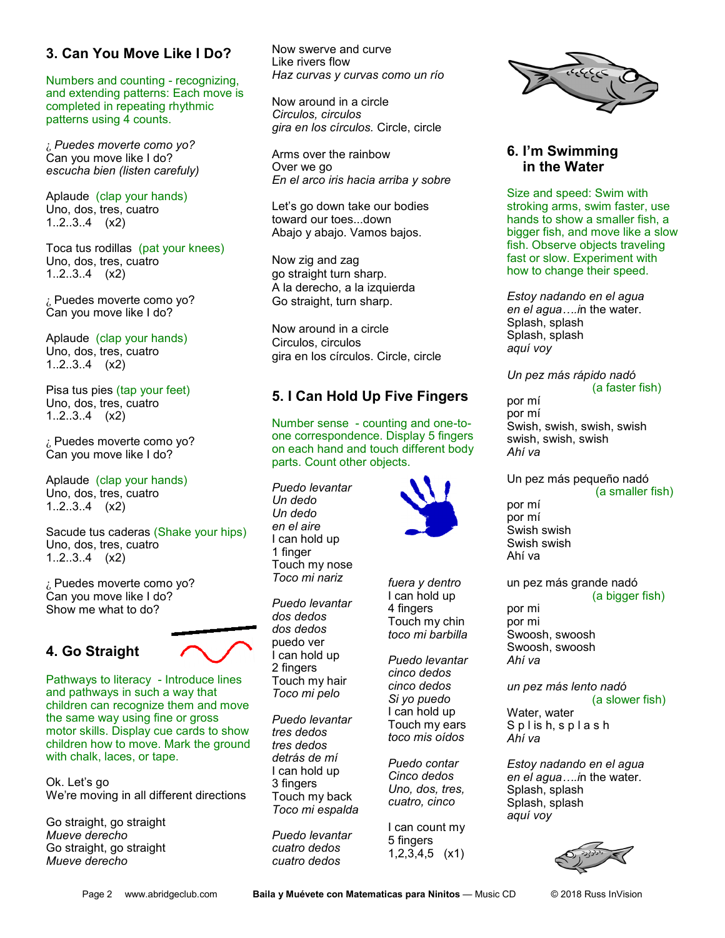## **3. Can You Move Like I Do?**

Numbers and counting - recognizing, and extending patterns: Each move is completed in repeating rhythmic patterns using 4 counts.

¿ *Puedes moverte como yo?* Can you move like I do? *escucha bien (listen carefuly)*

Aplaude (clap your hands) Uno, dos, tres, cuatro 1..2..3..4 (x2)

Toca tus rodillas (pat your knees) Uno, dos, tres, cuatro 1..2..3..4 (x2)

¿ Puedes moverte como yo? Can you move like I do?

Aplaude (clap your hands) Uno, dos, tres, cuatro 1..2..3..4 (x2)

Pisa tus pies (tap your feet) Uno, dos, tres, cuatro 1..2..3..4 (x2)

¿ Puedes moverte como yo? Can you move like I do?

Aplaude (clap your hands) Uno, dos, tres, cuatro 1..2..3..4 (x2)

Sacude tus caderas (Shake your hips) Uno, dos, tres, cuatro 1..2..3..4 (x2)

¿ Puedes moverte como yo? Can you move like I do? Show me what to do?

## **4. Go Straight**



Pathways to literacy - Introduce lines and pathways in such a way that children can recognize them and move the same way using fine or gross motor skills. Display cue cards to show children how to move. Mark the ground with chalk, laces, or tape.

Ok. Let's go We're moving in all different directions

Go straight, go straight *Mueve derecho* Go straight, go straight *Mueve derecho*

Now swerve and curve Like rivers flow *Haz curvas y curvas como un río*

Now around in a circle *Circulos, circulos gira en los círculos.* Circle, circle

Arms over the rainbow Over we go *En el arco iris hacia arriba y sobre*

Let's go down take our bodies toward our toes...down Abajo y abajo. Vamos bajos.

Now zig and zag go straight turn sharp. A la derecho, a la izquierda Go straight, turn sharp.

Now around in a circle Circulos, circulos gira en los círculos. Circle, circle

## **5. I Can Hold Up Five Fingers**

Number sense - counting and one-toone correspondence. Display 5 fingers on each hand and touch different body parts. Count other objects.

*Puedo levantar Un dedo Un dedo en el aire* I can hold up 1 finger Touch my nose *Toco mi nariz*

*Puedo levantar dos dedos dos dedos* puedo ver I can hold up 2 fingers Touch my hair *Toco mi pelo*

*Puedo levantar tres dedos tres dedos detrás de mí* I can hold up 3 fingers Touch my back *Toco mi espalda*

*Puedo levantar cuatro dedos cuatro dedos*



*fuera y dentro* I can hold up 4 fingers Touch my chin *toco mi barbilla*

*Puedo levantar cinco dedos cinco dedos Si yo puedo* I can hold up Touch my ears *toco mis oídos*

*Puedo contar Cinco dedos Uno, dos, tres, cuatro, cinco*

I can count my 5 fingers 1,2,3,4,5 (x1)



#### **6. I'm Swimming in the Water**

Size and speed: Swim with stroking arms, swim faster, use hands to show a smaller fish, a bigger fish, and move like a slow fish. Observe objects traveling fast or slow. Experiment with how to change their speed.

*Estoy nadando en el agua en el agua….i*n the water. Splash, splash Splash, splash *aquí voy*

*Un pez más rápido nadó* (a faster fish) por mí por mí Swish, swish, swish, swish swish, swish, swish

Un pez más pequeño nadó (a smaller fish)

por mí por mí Swish swish Swish swish Ahí va

*Ahí va*

un pez más grande nadó (a bigger fish) por mi por mi Swoosh, swoosh Swoosh, swoosh *Ahí va*

*un pez más lento nadó*  (a slower fish)

Water, water S p l is h, s p l a s h *Ahí va*

*Estoy nadando en el agua en el agua….i*n the water. Splash, splash Splash, splash *aquí voy*

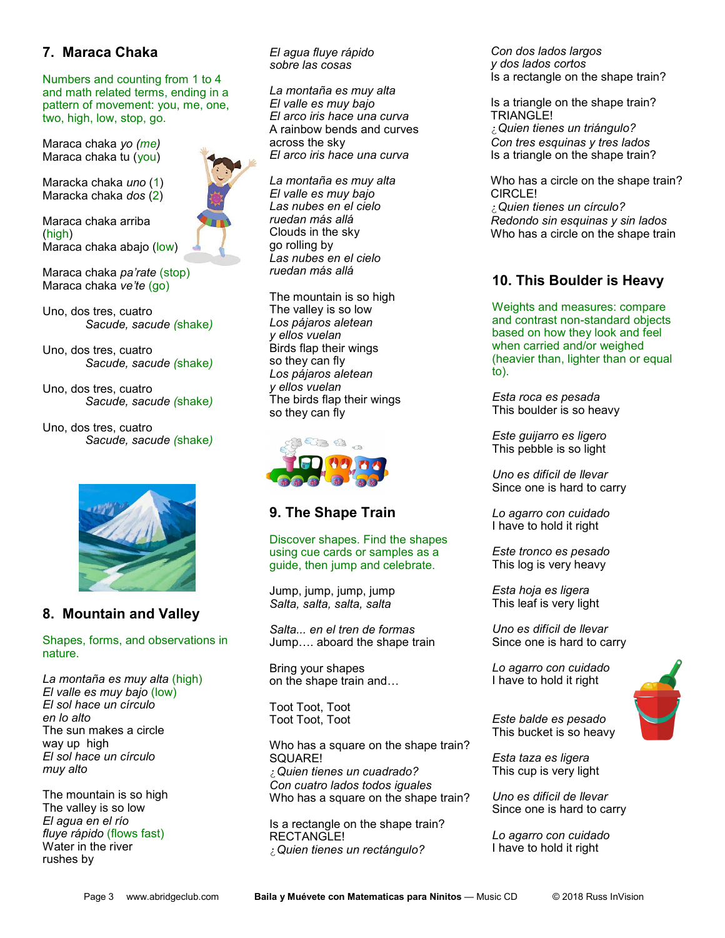## **7. Maraca Chaka**

Numbers and counting from 1 to 4 and math related terms, ending in a pattern of movement: you, me, one, two, high, low, stop, go.

Maraca chaka *yo (me)* Maraca chaka tu (you)

Maracka chaka *uno* (1) Maracka chaka *dos* (2)

Maraca chaka arriba (high) Maraca chaka abajo (low)

Maraca chaka *pa'rate* (stop) Maraca chaka *ve'te* (go)

Uno, dos tres, cuatro *Sacude, sacude (*shake*)*

Uno, dos tres, cuatro *Sacude, sacude (*shake*)*

Uno, dos tres, cuatro *Sacude, sacude (*shake*)*

Uno, dos tres, cuatro *Sacude, sacude (*shake*)*



#### **8. Mountain and Valley**

Shapes, forms, and observations in nature.

*La montaña es muy alta* (high) *El valle es muy bajo* (low) *El sol hace un círculo en lo alto* The sun makes a circle way up high *El sol hace un círculo muy alto*

The mountain is so high The valley is so low *El agua en el río fluye rápido* (flows fast) Water in the river rushes by

*El agua fluye rápido sobre las cosas*

*La montaña es muy alta El valle es muy bajo El arco iris hace una curva* A rainbow bends and curves across the sky *El arco iris hace una curva*

*La montaña es muy alta El valle es muy bajo Las nubes en el cielo ruedan más allá* Clouds in the sky go rolling by *Las nubes en el cielo ruedan más allá*

The mountain is so high The valley is so low *Los pájaros aletean y ellos vuelan* Birds flap their wings so they can fly *Los pájaros aletean y ellos vuelan* The birds flap their wings so they can fly



#### **9. The Shape Train**

Discover shapes. Find the shapes using cue cards or samples as a guide, then jump and celebrate.

Jump, jump, jump, jump *Salta, salta, salta, salta* 

*Salta... en el tren de formas* Jump…. aboard the shape train

Bring your shapes on the shape train and…

Toot Toot, Toot Toot Toot, Toot

Who has a square on the shape train? SQUARE! ¿*Quien tienes un cuadrado? Con cuatro lados todos iguales*  Who has a square on the shape train?

Is a rectangle on the shape train? RECTANGLE! ¿*Quien tienes un rectángulo?*

*Con dos lados largos y dos lados cortos* Is a rectangle on the shape train?

Is a triangle on the shape train? TRIANGLE! ¿*Quien tienes un triángulo? Con tres esquinas y tres lados* Is a triangle on the shape train?

Who has a circle on the shape train? CIRCLE! ¿*Quien tienes un círculo? Redondo sin esquinas y sin lados* Who has a circle on the shape train

#### **10. This Boulder is Heavy**

Weights and measures: compare and contrast non-standard objects based on how they look and feel when carried and/or weighed (heavier than, lighter than or equal to).

*Esta roca es pesada* This boulder is so heavy

*Este guijarro es ligero*  This pebble is so light

*Uno es difícil de llevar* Since one is hard to carry

*Lo agarro con cuidado*  I have to hold it right

*Este tronco es pesado*  This log is very heavy

*Esta hoja es ligera*  This leaf is very light

*Uno es difícil de llevar* Since one is hard to carry

*Lo agarro con cuidado*  I have to hold it right



*Este balde es pesado*  This bucket is so heavy

*Esta taza es ligera*  This cup is very light

*Uno es difícil de llevar* Since one is hard to carry

*Lo agarro con cuidado*  I have to hold it right